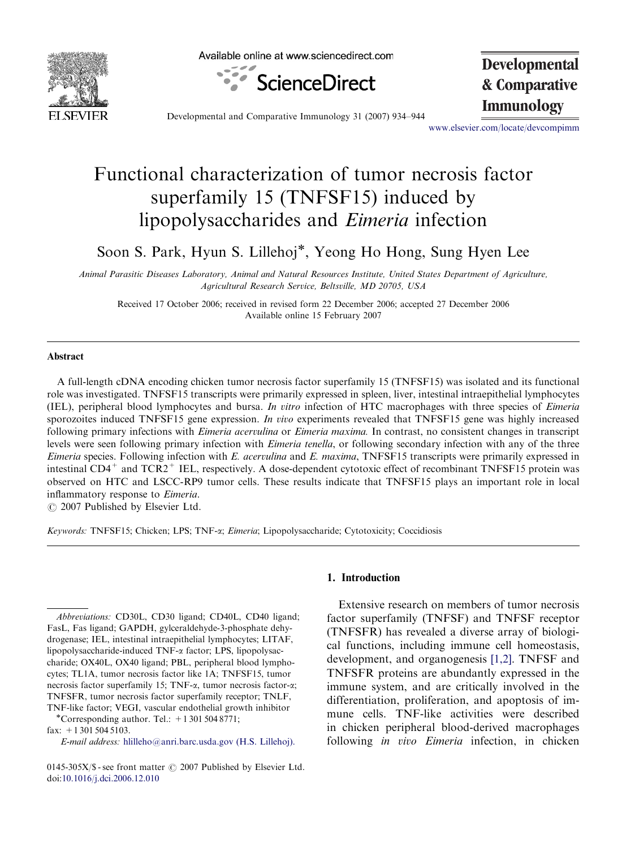

Available online at www.sciencedirect.com



**Developmental & Comparative**

**Immunology**<br>Developmental and Comparative Immunology 31 (2007) 934–944

<www.elsevier.com/locate/devcompimm>

# Functional characterization of tumor necrosis factor superfamily 15 (TNFSF15) induced by lipopolysaccharides and Eimeria infection

Soon S. Park, Hyun S. Lillehoj<sup>\*</sup>, Yeong Ho Hong, Sung Hyen Lee

Animal Parasitic Diseases Laboratory, Animal and Natural Resources Institute, United States Department of Agriculture, Agricultural Research Service, Beltsville, MD 20705, USA

Received 17 October 2006; received in revised form 22 December 2006; accepted 27 December 2006 Available online 15 February 2007

#### Abstract

A full-length cDNA encoding chicken tumor necrosis factor superfamily 15 (TNFSF15) was isolated and its functional role was investigated. TNFSF15 transcripts were primarily expressed in spleen, liver, intestinal intraepithelial lymphocytes (IEL), peripheral blood lymphocytes and bursa. In vitro infection of HTC macrophages with three species of Eimeria sporozoites induced TNFSF15 gene expression. In vivo experiments revealed that TNFSF15 gene was highly increased following primary infections with *Eimeria acervulina* or *Eimeria maxima*. In contrast, no consistent changes in transcript levels were seen following primary infection with *Eimeria tenella*, or following secondary infection with any of the three Eimeria species. Following infection with E. acervulina and E. maxima, TNFSF15 transcripts were primarily expressed in intestinal  $CD4^+$  and  $TCR2^+$  IEL, respectively. A dose-dependent cytotoxic effect of recombinant TNFSF15 protein was observed on HTC and LSCC-RP9 tumor cells. These results indicate that TNFSF15 plays an important role in local inflammatory response to Eimeria.

 $\odot$  2007 Published by Elsevier Ltd.

Keywords: TNFSF15; Chicken; LPS; TNF-a; Eimeria; Lipopolysaccharide; Cytotoxicity; Coccidiosis

\*Corresponding author. Tel.:  $+13015048771$ ; fax: +1 301 504 5103.

E-mail address: [hlilleho@anri.barc.usda.gov \(H.S. Lillehoj\).](mailto:hlilleho@anri.barc.usda.gov)

# 1. Introduction

Extensive research on members of tumor necrosis factor superfamily (TNFSF) and TNFSF receptor (TNFSFR) has revealed a diverse array of biological functions, including immune cell homeostasis, development, and organogenesis [\[1,2\].](#page-9-0) TNFSF and TNFSFR proteins are abundantly expressed in the immune system, and are critically involved in the differentiation, proliferation, and apoptosis of immune cells. TNF-like activities were described in chicken peripheral blood-derived macrophages following *in vivo Eimeria* infection, in chicken

Abbreviations: CD30L, CD30 ligand; CD40L, CD40 ligand; FasL, Fas ligand; GAPDH, gylceraldehyde-3-phosphate dehydrogenase; IEL, intestinal intraepithelial lymphocytes; LITAF, lipopolysaccharide-induced TNF-a factor; LPS, lipopolysaccharide; OX40L, OX40 ligand; PBL, peripheral blood lymphocytes; TL1A, tumor necrosis factor like 1A; TNFSF15, tumor necrosis factor superfamily 15; TNF-a, tumor necrosis factor-a; TNFSFR, tumor necrosis factor superfamily receptor; TNLF, TNF-like factor; VEGI, vascular endothelial growth inhibitor -

<sup>0145-305</sup>X/\$ - see front matter  $\odot$  2007 Published by Elsevier Ltd. doi[:10.1016/j.dci.2006.12.010](dx.doi.org/10.1016/j.dci.2006.12.010)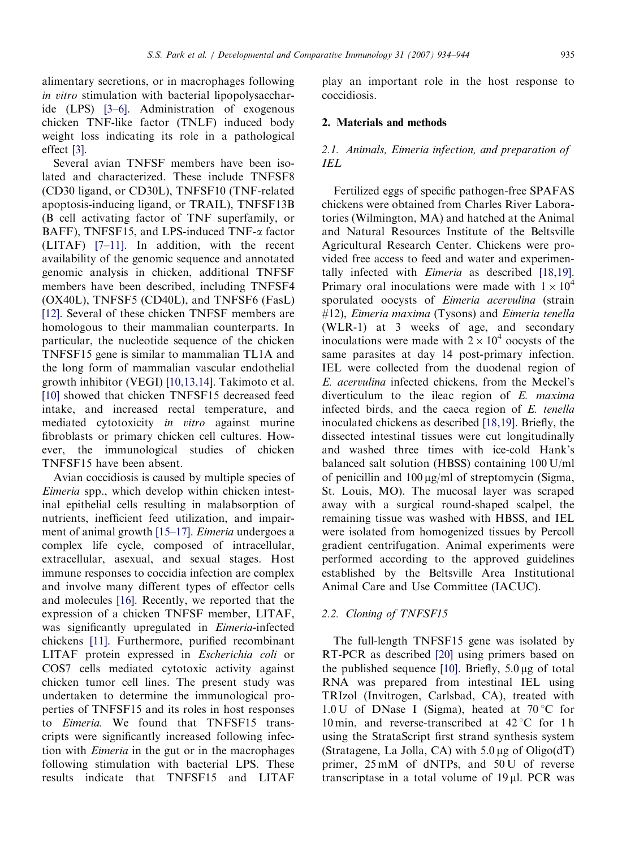alimentary secretions, or in macrophages following in vitro stimulation with bacterial lipopolysaccharide (LPS) [\[3–6\]](#page-9-0). Administration of exogenous chicken TNF-like factor (TNLF) induced body weight loss indicating its role in a pathological effect [\[3\].](#page-9-0)

Several avian TNFSF members have been isolated and characterized. These include TNFSF8 (CD30 ligand, or CD30L), TNFSF10 (TNF-related apoptosis-inducing ligand, or TRAIL), TNFSF13B (B cell activating factor of TNF superfamily, or BAFF), TNFSF15, and LPS-induced TNF- $\alpha$  factor (LITAF) [\[7–11\].](#page-9-0) In addition, with the recent availability of the genomic sequence and annotated genomic analysis in chicken, additional TNFSF members have been described, including TNFSF4 (OX40L), TNFSF5 (CD40L), and TNFSF6 (FasL) [\[12\]](#page-9-0). Several of these chicken TNFSF members are homologous to their mammalian counterparts. In particular, the nucleotide sequence of the chicken TNFSF15 gene is similar to mammalian TL1A and the long form of mammalian vascular endothelial growth inhibitor (VEGI) [\[10,13,14\]](#page-9-0). Takimoto et al. [\[10\]](#page-9-0) showed that chicken TNFSF15 decreased feed intake, and increased rectal temperature, and mediated cytotoxicity in vitro against murine fibroblasts or primary chicken cell cultures. However, the immunological studies of chicken TNFSF15 have been absent.

Avian coccidiosis is caused by multiple species of Eimeria spp., which develop within chicken intestinal epithelial cells resulting in malabsorption of nutrients, inefficient feed utilization, and impairment of animal growth [\[15–17\].](#page-9-0) Eimeria undergoes a complex life cycle, composed of intracellular, extracellular, asexual, and sexual stages. Host immune responses to coccidia infection are complex and involve many different types of effector cells and molecules [\[16\].](#page-10-0) Recently, we reported that the expression of a chicken TNFSF member, LITAF, was significantly upregulated in Eimeria-infected chickens [\[11\].](#page-9-0) Furthermore, purified recombinant LITAF protein expressed in Escherichia coli or COS7 cells mediated cytotoxic activity against chicken tumor cell lines. The present study was undertaken to determine the immunological properties of TNFSF15 and its roles in host responses to Eimeria. We found that TNFSF15 transcripts were significantly increased following infection with Eimeria in the gut or in the macrophages following stimulation with bacterial LPS. These results indicate that TNFSF15 and LITAF

play an important role in the host response to coccidiosis.

# 2. Materials and methods

# 2.1. Animals, Eimeria infection, and preparation of IEL

Fertilized eggs of specific pathogen-free SPAFAS chickens were obtained from Charles River Laboratories (Wilmington, MA) and hatched at the Animal and Natural Resources Institute of the Beltsville Agricultural Research Center. Chickens were provided free access to feed and water and experimentally infected with Eimeria as described [\[18,19\]](#page-10-0). Primary oral inoculations were made with  $1 \times 10^4$ sporulated oocysts of Eimeria acervulina (strain #12), Eimeria maxima (Tysons) and Eimeria tenella (WLR-1) at 3 weeks of age, and secondary inoculations were made with  $2 \times 10^4$  oocysts of the same parasites at day 14 post-primary infection. IEL were collected from the duodenal region of E. acervulina infected chickens, from the Meckel's diverticulum to the ileac region of E. maxima infected birds, and the caeca region of E. tenella inoculated chickens as described [\[18,19\].](#page-10-0) Briefly, the dissected intestinal tissues were cut longitudinally and washed three times with ice-cold Hank's balanced salt solution (HBSS) containing 100 U/ml of penicillin and  $100 \mu g/ml$  of streptomycin (Sigma, St. Louis, MO). The mucosal layer was scraped away with a surgical round-shaped scalpel, the remaining tissue was washed with HBSS, and IEL were isolated from homogenized tissues by Percoll gradient centrifugation. Animal experiments were performed according to the approved guidelines established by the Beltsville Area Institutional Animal Care and Use Committee (IACUC).

# 2.2. Cloning of TNFSF15

The full-length TNFSF15 gene was isolated by RT-PCR as described [\[20\]](#page-10-0) using primers based on the published sequence [\[10\].](#page-9-0) Briefly,  $5.0 \mu$ g of total RNA was prepared from intestinal IEL using TRIzol (Invitrogen, Carlsbad, CA), treated with  $1.0 \text{ U}$  of DNase I (Sigma), heated at  $70 \degree \text{C}$  for 10 min, and reverse-transcribed at  $42^{\circ}$ C for 1 h using the StrataScript first strand synthesis system (Stratagene, La Jolla, CA) with  $5.0 \mu$ g of Oligo(dT) primer,  $25 \text{ mM}$  of dNTPs, and  $50 \text{ U}$  of reverse transcriptase in a total volume of  $19 \mu$ l. PCR was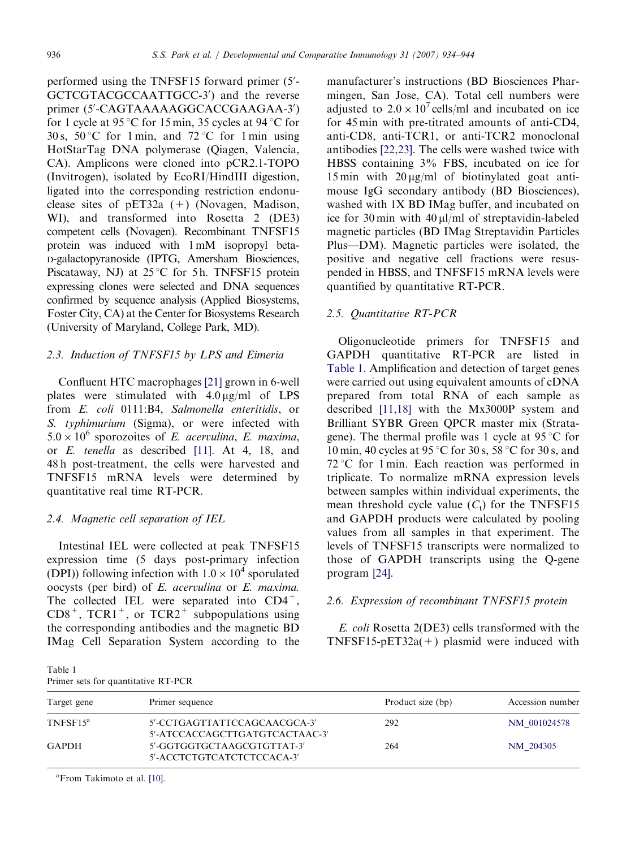performed using the TNFSF15 forward primer (5'-GCTCGTACGCCAATTGCC-3') and the reverse primer (5'-CAGTAAAAAGGCACCGAAGAA-3') for 1 cycle at 95 °C for 15 min, 35 cycles at 94 °C for 30 s, 50 °C for 1 min, and 72 °C for 1 min using HotStarTag DNA polymerase (Qiagen, Valencia, CA). Amplicons were cloned into pCR2.1-TOPO (Invitrogen), isolated by EcoRI/HindIII digestion, ligated into the corresponding restriction endonuclease sites of  $pET32a (+)$  (Novagen, Madison, WI), and transformed into Rosetta 2 (DE3) competent cells (Novagen). Recombinant TNFSF15 protein was induced with 1 mM isopropyl beta-D-galactopyranoside (IPTG, Amersham Biosciences, Piscataway, NJ) at  $25^{\circ}$ C for 5 h. TNFSF15 protein expressing clones were selected and DNA sequences confirmed by sequence analysis (Applied Biosystems, Foster City, CA) at the Center for Biosystems Research (University of Maryland, College Park, MD).

# 2.3. Induction of TNFSF15 by LPS and Eimeria

Confluent HTC macrophages [\[21\]](#page-10-0) grown in 6-well plates were stimulated with  $4.0 \mu g/ml$  of LPS from E. coli 0111:B4, Salmonella enteritidis, or S. typhimurium (Sigma), or were infected with  $5.0 \times 10^6$  sporozoites of *E. acervulina*, *E. maxima*, or E. tenella as described [\[11\]](#page-9-0). At 4, 18, and 48 h post-treatment, the cells were harvested and TNFSF15 mRNA levels were determined by quantitative real time RT-PCR.

## 2.4. Magnetic cell separation of IEL

Intestinal IEL were collected at peak TNFSF15 expression time (5 days post-primary infection (DPI)) following infection with  $1.0 \times 10^4$  sporulated oocysts (per bird) of E. acervulina or E. maxima. The collected IEL were separated into  $CD4^+$ ,  $CD8^+$ , TCR1<sup>+</sup>, or TCR2<sup>+</sup> subpopulations using the corresponding antibodies and the magnetic BD IMag Cell Separation System according to the

Table 1 Primer sets for quantitative RT-PCR manufacturer's instructions (BD Biosciences Pharmingen, San Jose, CA). Total cell numbers were adjusted to  $2.0 \times 10^7$  cells/ml and incubated on ice for 45 min with pre-titrated amounts of anti-CD4, anti-CD8, anti-TCR1, or anti-TCR2 monoclonal antibodies [\[22,23\]](#page-10-0). The cells were washed twice with HBSS containing 3% FBS, incubated on ice for 15 min with  $20 \mu g/ml$  of biotinylated goat antimouse IgG secondary antibody (BD Biosciences), washed with 1X BD IMag buffer, and incubated on ice for 30 min with  $40 \mu l$ /ml of streptavidin-labeled magnetic particles (BD IMag Streptavidin Particles Plus—DM). Magnetic particles were isolated, the positive and negative cell fractions were resuspended in HBSS, and TNFSF15 mRNA levels were quantified by quantitative RT-PCR.

## 2.5. Quantitative RT-PCR

Oligonucleotide primers for TNFSF15 and GAPDH quantitative RT-PCR are listed in Table 1. Amplification and detection of target genes were carried out using equivalent amounts of cDNA prepared from total RNA of each sample as described [\[11,18\]](#page-9-0) with the Mx3000P system and Brilliant SYBR Green QPCR master mix (Stratagene). The thermal profile was 1 cycle at  $95^{\circ}$ C for 10 min, 40 cycles at 95 °C for 30 s, 58 °C for 30 s, and  $72^{\circ}$ C for 1 min. Each reaction was performed in triplicate. To normalize mRNA expression levels between samples within individual experiments, the mean threshold cycle value  $(C_t)$  for the TNFSF15 and GAPDH products were calculated by pooling values from all samples in that experiment. The levels of TNFSF15 transcripts were normalized to those of GAPDH transcripts using the Q-gene program [\[24\].](#page-10-0)

# 2.6. Expression of recombinant TNFSF15 protein

E. coli Rosetta 2(DE3) cells transformed with the TNFSF15-pET32a( $+$ ) plasmid were induced with

| Target gene  | Primer sequence                                                | Product size (bp) | Accession number |
|--------------|----------------------------------------------------------------|-------------------|------------------|
| $TNFSF15^a$  | 5'-CCTGAGTTATTCCAGCAACGCA-3'<br>5'-ATCCACCAGCTTGATGTCACTAAC-3' | 292               | NM 001024578     |
| <b>GAPDH</b> | 5'-GGTGGTGCTAAGCGTGTTAT-3'<br>5'-ACCTCTGTCATCTCTCCACA-3'       | 264               | NM 204305        |

a From Takimoto et al. [\[10\].](#page-9-0)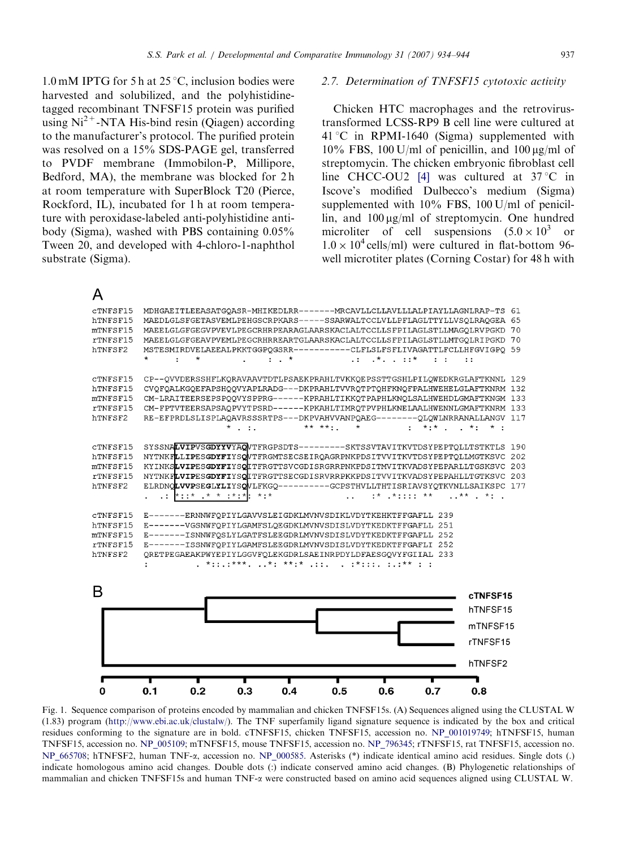<span id="page-3-0"></span>1.0 mM IPTG for 5 h at  $25^{\circ}$ C, inclusion bodies were harvested and solubilized, and the polyhistidinetagged recombinant TNFSF15 protein was purified using  $Ni<sup>2+</sup>$ -NTA His-bind resin (Qiagen) according to the manufacturer's protocol. The purified protein was resolved on a 15% SDS-PAGE gel, transferred to PVDF membrane (Immobilon-P, Millipore, Bedford, MA), the membrane was blocked for 2 h at room temperature with SuperBlock T20 (Pierce, Rockford, IL), incubated for 1 h at room temperature with peroxidase-labeled anti-polyhistidine antibody (Sigma), washed with PBS containing 0.05% Tween 20, and developed with 4-chloro-1-naphthol substrate (Sigma).

## 2.7. Determination of TNFSF15 cytotoxic activity

Chicken HTC macrophages and the retrovirustransformed LCSS-RP9 B cell line were cultured at  $41^{\circ}$ C in RPMI-1640 (Sigma) supplemented with  $10\%$  FBS,  $100$  U/ml of penicillin, and  $100 \mu$ g/ml of streptomycin. The chicken embryonic fibroblast cell line CHCC-OU2 [\[4\]](#page-9-0) was cultured at  $37^{\circ}$ C in Iscove's modified Dulbecco's medium (Sigma) supplemented with 10% FBS, 100 U/ml of penicillin, and  $100 \mu g/ml$  of streptomycin. One hundred microliter of cell suspensions  $(5.0 \times 10^3)$  or  $1.0 \times 10^4$  cells/ml) were cultured in flat-bottom 96well microtiter plates (Corning Costar) for 48 h with



Fig. 1. Sequence comparison of proteins encoded by mammalian and chicken TNFSF15s. (A) Sequences aligned using the CLUSTAL W (1.83) program (<http://www.ebi.ac.uk/clustalw/>). The TNF superfamily ligand signature sequence is indicated by the box and critical residues conforming to the signature are in bold. cTNFSF15, chicken TNFSF15, accession no. NP\_001019749; hTNFSF15, human TNFSF15, accession no. NP\_005109; mTNFSF15, mouse TNFSF15, accession no. NP\_796345; rTNFSF15, rat TNFSF15, accession no. NP\_665708; hTNFSF2, human TNF-a, accession no. NP\_000585. Asterisks (\*) indicate identical amino acid residues. Single dots (.) indicate homologous amino acid changes. Double dots (:) indicate conserved amino acid changes. (B) Phylogenetic relationships of mammalian and chicken TNFSF15s and human TNF-a were constructed based on amino acid sequences aligned using CLUSTAL W.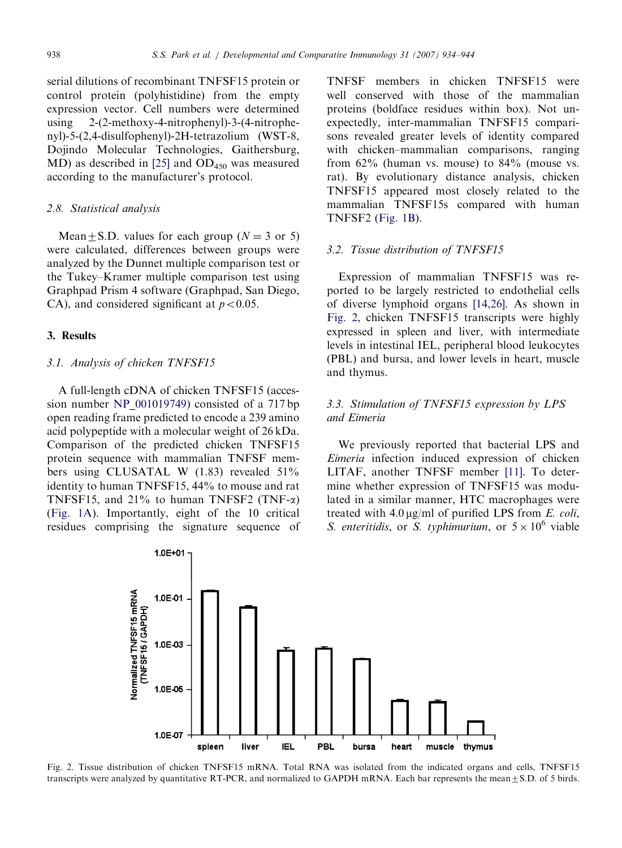serial dilutions of recombinant TNFSF15 protein or control protein (polyhistidine) from the empty expression vector. Cell numbers were determined using 2-(2-methoxy-4-nitrophenyl)-3-(4-nitrophenyl)-5-(2,4-disulfophenyl)-2H-tetrazolium (WST-8, Dojindo Molecular Technologies, Gaithersburg, MD) as described in  $[25]$  and  $OD<sub>450</sub>$  was measured according to the manufacturer's protocol.

# 2.8. Statistical analysis

Mean  $\pm$  S.D. values for each group (N = 3 or 5) were calculated, differences between groups were analyzed by the Dunnet multiple comparison test or the Tukey–Kramer multiple comparison test using Graphpad Prism 4 software (Graphpad, San Diego, CA), and considered significant at  $p < 0.05$ .

#### 3. Results

## 3.1. Analysis of chicken TNFSF15

A full-length cDNA of chicken TNFSF15 (accession number NP\_001019749) consisted of a 717 bp open reading frame predicted to encode a 239 amino acid polypeptide with a molecular weight of 26 kDa. Comparison of the predicted chicken TNFSF15 protein sequence with mammalian TNFSF members using CLUSATAL W (1.83) revealed 51% identity to human TNFSF15, 44% to mouse and rat TNFSF15, and 21% to human TNFSF2 (TNF- $\alpha$ ) ([Fig. 1A\)](#page-3-0). Importantly, eight of the 10 critical residues comprising the signature sequence of

TNFSF members in chicken TNFSF15 were well conserved with those of the mammalian proteins (boldface residues within box). Not unexpectedly, inter-mammalian TNFSF15 comparisons revealed greater levels of identity compared with chicken–mammalian comparisons, ranging from  $62\%$  (human vs. mouse) to  $84\%$  (mouse vs. rat). By evolutionary distance analysis, chicken TNFSF15 appeared most closely related to the mammalian TNFSF15s compared with human TNFSF2 ([Fig. 1B\)](#page-3-0).

## 3.2. Tissue distribution of TNFSF15

Expression of mammalian TNFSF15 was reported to be largely restricted to endothelial cells of diverse lymphoid organs [\[14,26\]](#page-9-0). As shown in Fig. 2, chicken TNFSF15 transcripts were highly expressed in spleen and liver, with intermediate levels in intestinal IEL, peripheral blood leukocytes (PBL) and bursa, and lower levels in heart, muscle and thymus.

# 3.3. Stimulation of TNFSF15 expression by LPS and Eimeria

We previously reported that bacterial LPS and Eimeria infection induced expression of chicken LITAF, another TNFSF member [\[11\].](#page-9-0) To determine whether expression of TNFSF15 was modulated in a similar manner, HTC macrophages were treated with  $4.0 \mu g/ml$  of purified LPS from E. coli, S. enteritidis, or S. typhimurium, or  $5 \times 10^6$  viable



Fig. 2. Tissue distribution of chicken TNFSF15 mRNA. Total RNA was isolated from the indicated organs and cells, TNFSF15 transcripts were analyzed by quantitative RT-PCR, and normalized to GAPDH mRNA. Each bar represents the mean $\pm$ S.D. of 5 birds.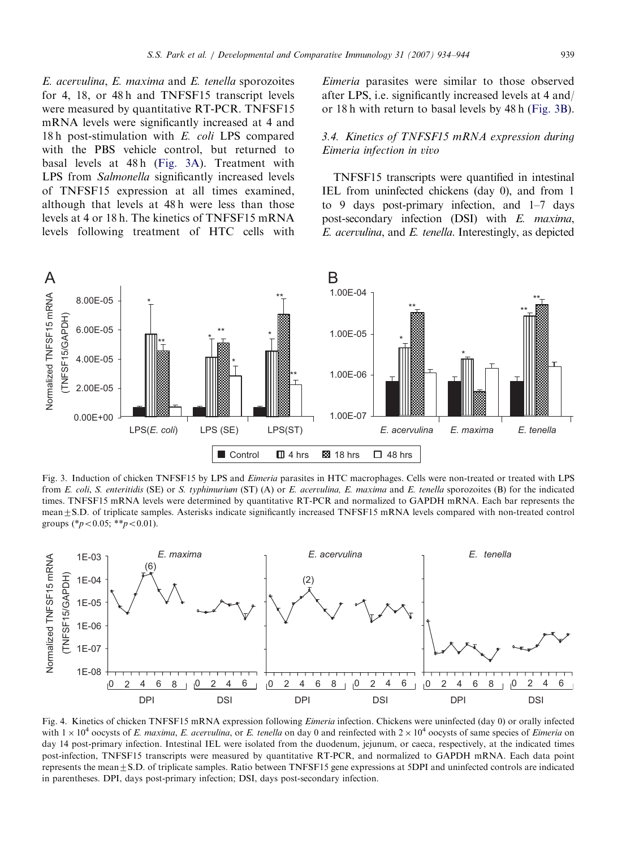<span id="page-5-0"></span>E. acervulina, E. maxima and E. tenella sporozoites for 4, 18, or 48 h and TNFSF15 transcript levels were measured by quantitative RT-PCR. TNFSF15 mRNA levels were significantly increased at 4 and 18 h post-stimulation with E. coli LPS compared with the PBS vehicle control, but returned to basal levels at 48 h (Fig. 3A). Treatment with LPS from Salmonella significantly increased levels of TNFSF15 expression at all times examined, although that levels at 48 h were less than those levels at 4 or 18 h. The kinetics of TNFSF15 mRNA levels following treatment of HTC cells with

Eimeria parasites were similar to those observed after LPS, i.e. significantly increased levels at 4 and/ or 18 h with return to basal levels by 48 h (Fig. 3B).

# 3.4. Kinetics of TNFSF15 mRNA expression during Eimeria infection in vivo

TNFSF15 transcripts were quantified in intestinal IEL from uninfected chickens (day 0), and from 1 to 9 days post-primary infection, and 1–7 days post-secondary infection (DSI) with E. maxima, E. acervulina, and E. tenella. Interestingly, as depicted



Fig. 3. Induction of chicken TNFSF15 by LPS and Eimeria parasites in HTC macrophages. Cells were non-treated or treated with LPS from E. coli, S. enteritidis (SE) or S. typhimurium (ST) (A) or E. acervulina, E. maxima and E. tenella sporozoites (B) for the indicated times. TNFSF15 mRNA levels were determined by quantitative RT-PCR and normalized to GAPDH mRNA. Each bar represents the mean  $\pm$  S.D. of triplicate samples. Asterisks indicate significantly increased TNFSF15 mRNA levels compared with non-treated control groups (\* $p < 0.05$ ; \*\* $p < 0.01$ ).



Fig. 4. Kinetics of chicken TNFSF15 mRNA expression following *Eimeria* infection. Chickens were uninfected (day 0) or orally infected with  $1 \times 10^4$  oocysts of E. maxima, E. acervulina, or E. tenella on day 0 and reinfected with  $2 \times 10^4$  oocysts of same species of Eimeria on day 14 post-primary infection. Intestinal IEL were isolated from the duodenum, jejunum, or caeca, respectively, at the indicated times post-infection, TNFSF15 transcripts were measured by quantitative RT-PCR, and normalized to GAPDH mRNA. Each data point represents the mean $\pm$ S.D. of triplicate samples. Ratio between TNFSF15 gene expressions at 5DPI and uninfected controls are indicated in parentheses. DPI, days post-primary infection; DSI, days post-secondary infection.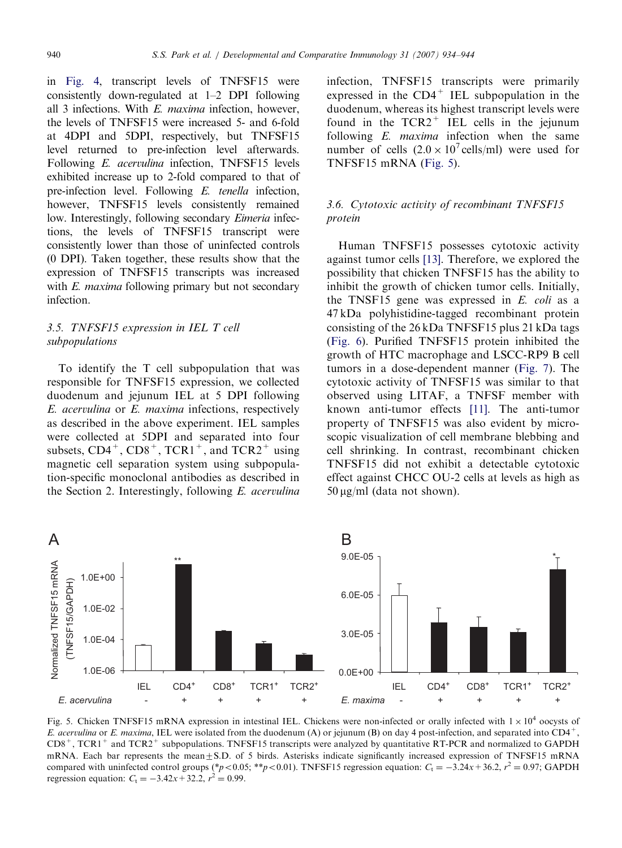in [Fig. 4,](#page-5-0) transcript levels of TNFSF15 were consistently down-regulated at 1–2 DPI following all 3 infections. With E. maxima infection, however, the levels of TNFSF15 were increased 5- and 6-fold at 4DPI and 5DPI, respectively, but TNFSF15 level returned to pre-infection level afterwards. Following E. acervulina infection, TNFSF15 levels exhibited increase up to 2-fold compared to that of pre-infection level. Following E. tenella infection, however, TNFSF15 levels consistently remained low. Interestingly, following secondary *Eimeria* infections, the levels of TNFSF15 transcript were consistently lower than those of uninfected controls (0 DPI). Taken together, these results show that the expression of TNFSF15 transcripts was increased with E. maxima following primary but not secondary infection.

# 3.5. TNFSF15 expression in IEL T cell subpopulations

To identify the T cell subpopulation that was responsible for TNFSF15 expression, we collected duodenum and jejunum IEL at 5 DPI following E. acervulina or E. maxima infections, respectively as described in the above experiment. IEL samples were collected at 5DPI and separated into four subsets,  $CD4^+$ ,  $CD8^+$ , TCR1<sup>+</sup>, and TCR2<sup>+</sup> using magnetic cell separation system using subpopulation-specific monoclonal antibodies as described in the Section 2. Interestingly, following E. acervulina

infection, TNFSF15 transcripts were primarily expressed in the  $CD4^+$  IEL subpopulation in the duodenum, whereas its highest transcript levels were found in the  $TCR2$ <sup>+</sup> IEL cells in the jejunum following  $E$ . *maxima* infection when the same number of cells  $(2.0 \times 10^7 \text{ cells/ml})$  were used for TNFSF15 mRNA (Fig. 5).

# 3.6. Cytotoxic activity of recombinant TNFSF15 protein

Human TNFSF15 possesses cytotoxic activity against tumor cells [\[13\].](#page-9-0) Therefore, we explored the possibility that chicken TNFSF15 has the ability to inhibit the growth of chicken tumor cells. Initially, the TNSF15 gene was expressed in E. coli as a 47 kDa polyhistidine-tagged recombinant protein consisting of the 26 kDa TNFSF15 plus 21 kDa tags ([Fig. 6\)](#page-7-0). Purified TNFSF15 protein inhibited the growth of HTC macrophage and LSCC-RP9 B cell tumors in a dose-dependent manner ([Fig. 7](#page-8-0)). The cytotoxic activity of TNFSF15 was similar to that observed using LITAF, a TNFSF member with known anti-tumor effects [\[11\].](#page-9-0) The anti-tumor property of TNFSF15 was also evident by microscopic visualization of cell membrane blebbing and cell shrinking. In contrast, recombinant chicken TNFSF15 did not exhibit a detectable cytotoxic effect against CHCC OU-2 cells at levels as high as  $50 \mu g/ml$  (data not shown).



Fig. 5. Chicken TNFSF15 mRNA expression in intestinal IEL. Chickens were non-infected or orally infected with  $1 \times 10^4$  oocysts of E. acervulina or E. maxima, IEL were isolated from the duodenum (A) or jejunum (B) on day 4 post-infection, and separated into  $CD4^+$ ,  $CD8^+$ , TCR1<sup>+</sup> and TCR2<sup>+</sup> subpopulations. TNFSF15 transcripts were analyzed by quantitative RT-PCR and normalized to GAPDH mRNA. Each bar represents the mean±S.D. of 5 birds. Asterisks indicate significantly increased expression of TNFSF15 mRNA compared with uninfected control groups (\*p<0.05; \*\*p<0.01). TNFSF15 regression equation:  $C_t = -3.24x + 36.2$ ,  $r^2 = 0.97$ ; GAPDH regression equation:  $C_t = -3.42x + 32.2$ ,  $r^2 = 0.99$ .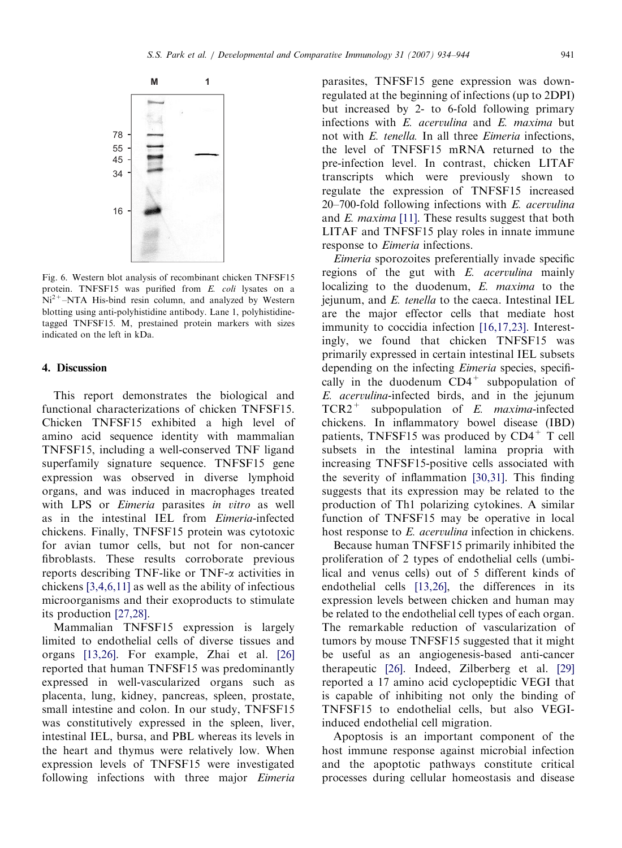<span id="page-7-0"></span>

Fig. 6. Western blot analysis of recombinant chicken TNFSF15 protein. TNFSF15 was purified from E. coli lysates on a  $Ni<sup>2+</sup>–NTA$  His-bind resin column, and analyzed by Western blotting using anti-polyhistidine antibody. Lane 1, polyhistidinetagged TNFSF15. M, prestained protein markers with sizes indicated on the left in kDa.

## 4. Discussion

This report demonstrates the biological and functional characterizations of chicken TNFSF15. Chicken TNFSF15 exhibited a high level of amino acid sequence identity with mammalian TNFSF15, including a well-conserved TNF ligand superfamily signature sequence. TNFSF15 gene expression was observed in diverse lymphoid organs, and was induced in macrophages treated with LPS or *Eimeria* parasites in vitro as well as in the intestinal IEL from Eimeria-infected chickens. Finally, TNFSF15 protein was cytotoxic for avian tumor cells, but not for non-cancer fibroblasts. These results corroborate previous reports describing TNF-like or TNF-a activities in chickens [\[3,4,6,11\]](#page-9-0) as well as the ability of infectious microorganisms and their exoproducts to stimulate its production [\[27,28\].](#page-10-0)

Mammalian TNFSF15 expression is largely limited to endothelial cells of diverse tissues and organs [\[13,26\]](#page-9-0). For example, Zhai et al. [\[26\]](#page-10-0) reported that human TNFSF15 was predominantly expressed in well-vascularized organs such as placenta, lung, kidney, pancreas, spleen, prostate, small intestine and colon. In our study, TNFSF15 was constitutively expressed in the spleen, liver, intestinal IEL, bursa, and PBL whereas its levels in the heart and thymus were relatively low. When expression levels of TNFSF15 were investigated following infections with three major Eimeria

parasites, TNFSF15 gene expression was downregulated at the beginning of infections (up to 2DPI) but increased by 2- to 6-fold following primary infections with E. acervulina and E. maxima but not with  $E$  tenella. In all three Eimeria infections, the level of TNFSF15 mRNA returned to the pre-infection level. In contrast, chicken LITAF transcripts which were previously shown to regulate the expression of TNFSF15 increased  $20-700$ -fold following infections with  $E$ . acervulina and E. maxima [\[11\]](#page-9-0). These results suggest that both LITAF and TNFSF15 play roles in innate immune response to Eimeria infections.

Eimeria sporozoites preferentially invade specific regions of the gut with  $E$ . *acervulina* mainly localizing to the duodenum, E. maxima to the iejunum, and  $E$ , tenella to the caeca. Intestinal IEL are the major effector cells that mediate host immunity to coccidia infection [\[16,17,23\].](#page-10-0) Interestingly, we found that chicken TNFSF15 was primarily expressed in certain intestinal IEL subsets depending on the infecting *Eimeria* species, specifically in the duodenum  $CD4^+$  subpopulation of E. acervulina-infected birds, and in the jejunum  $TCR2^+$  subpopulation of E. *maxima*-infected chickens. In inflammatory bowel disease (IBD) patients, TNFSF15 was produced by  $CD4<sup>+</sup>$  T cell subsets in the intestinal lamina propria with increasing TNFSF15-positive cells associated with the severity of inflammation [\[30,31\].](#page-10-0) This finding suggests that its expression may be related to the production of Th1 polarizing cytokines. A similar function of TNFSF15 may be operative in local host response to E. *acervulina* infection in chickens.

Because human TNFSF15 primarily inhibited the proliferation of 2 types of endothelial cells (umbilical and venus cells) out of 5 different kinds of endothelial cells [\[13,26\]](#page-9-0), the differences in its expression levels between chicken and human may be related to the endothelial cell types of each organ. The remarkable reduction of vascularization of tumors by mouse TNFSF15 suggested that it might be useful as an angiogenesis-based anti-cancer therapeutic [\[26\].](#page-10-0) Indeed, Zilberberg et al. [\[29\]](#page-10-0) reported a 17 amino acid cyclopeptidic VEGI that is capable of inhibiting not only the binding of TNFSF15 to endothelial cells, but also VEGIinduced endothelial cell migration.

Apoptosis is an important component of the host immune response against microbial infection and the apoptotic pathways constitute critical processes during cellular homeostasis and disease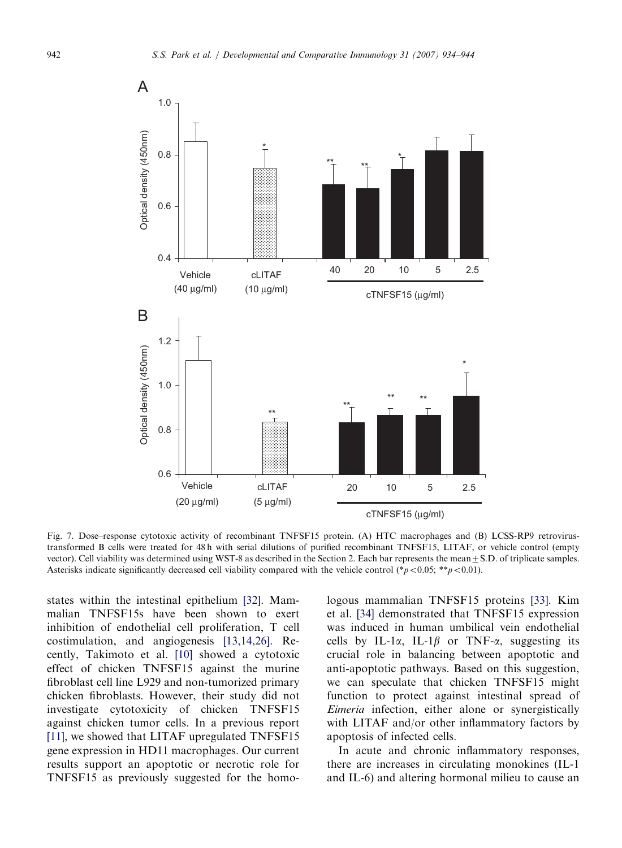<span id="page-8-0"></span>

Fig. 7. Dose–response cytotoxic activity of recombinant TNFSF15 protein. (A) HTC macrophages and (B) LCSS-RP9 retrovirustransformed B cells were treated for 48 h with serial dilutions of purified recombinant TNFSF15, LITAF, or vehicle control (empty vector). Cell viability was determined using WST-8 as described in the Section 2. Each bar represents the mean $\pm$ S.D. of triplicate samples. Asterisks indicate significantly decreased cell viability compared with the vehicle control (\*p<0.05; \*\*p<0.01).

states within the intestinal epithelium [\[32\]](#page-10-0). Mammalian TNFSF15s have been shown to exert inhibition of endothelial cell proliferation, T cell costimulation, and angiogenesis [\[13,14,26\]](#page-9-0). Recently, Takimoto et al. [\[10\]](#page-9-0) showed a cytotoxic effect of chicken TNFSF15 against the murine fibroblast cell line L929 and non-tumorized primary chicken fibroblasts. However, their study did not investigate cytotoxicity of chicken TNFSF15 against chicken tumor cells. In a previous report [\[11\],](#page-9-0) we showed that LITAF upregulated TNFSF15 gene expression in HD11 macrophages. Our current results support an apoptotic or necrotic role for TNFSF15 as previously suggested for the homologous mammalian TNFSF15 proteins [\[33\]](#page-10-0). Kim et al. [\[34\]](#page-10-0) demonstrated that TNFSF15 expression was induced in human umbilical vein endothelial cells by IL-1 $\alpha$ , IL-1 $\beta$  or TNF- $\alpha$ , suggesting its crucial role in balancing between apoptotic and anti-apoptotic pathways. Based on this suggestion, we can speculate that chicken TNFSF15 might function to protect against intestinal spread of Eimeria infection, either alone or synergistically with LITAF and/or other inflammatory factors by apoptosis of infected cells.

In acute and chronic inflammatory responses, there are increases in circulating monokines (IL-1 and IL-6) and altering hormonal milieu to cause an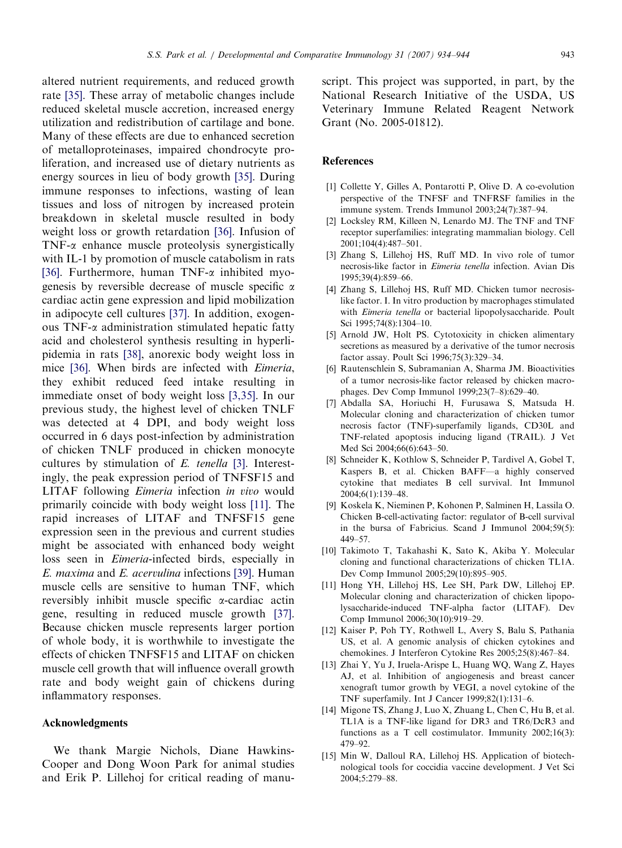<span id="page-9-0"></span>altered nutrient requirements, and reduced growth rate [\[35\]](#page-10-0). These array of metabolic changes include reduced skeletal muscle accretion, increased energy utilization and redistribution of cartilage and bone. Many of these effects are due to enhanced secretion of metalloproteinases, impaired chondrocyte proliferation, and increased use of dietary nutrients as energy sources in lieu of body growth [\[35\].](#page-10-0) During immune responses to infections, wasting of lean tissues and loss of nitrogen by increased protein breakdown in skeletal muscle resulted in body weight loss or growth retardation [\[36\]](#page-10-0). Infusion of  $TNF-\alpha$  enhance muscle proteolysis synergistically with IL-1 by promotion of muscle catabolism in rats [\[36\]](#page-10-0). Furthermore, human TNF-a inhibited myogenesis by reversible decrease of muscle specific  $\alpha$ cardiac actin gene expression and lipid mobilization in adipocyte cell cultures [\[37\].](#page-10-0) In addition, exogenous  $TNF-\alpha$  administration stimulated hepatic fatty acid and cholesterol synthesis resulting in hyperlipidemia in rats [\[38\],](#page-10-0) anorexic body weight loss in mice [\[36\].](#page-10-0) When birds are infected with Eimeria, they exhibit reduced feed intake resulting in immediate onset of body weight loss [3,35]. In our previous study, the highest level of chicken TNLF was detected at 4 DPI, and body weight loss occurred in 6 days post-infection by administration of chicken TNLF produced in chicken monocyte cultures by stimulation of E. tenella [3]. Interestingly, the peak expression period of TNFSF15 and LITAF following Eimeria infection in vivo would primarily coincide with body weight loss [11]. The rapid increases of LITAF and TNFSF15 gene expression seen in the previous and current studies might be associated with enhanced body weight loss seen in Eimeria-infected birds, especially in E. maxima and E. acervulina infections [\[39\]](#page-10-0). Human muscle cells are sensitive to human TNF, which reversibly inhibit muscle specific a-cardiac actin gene, resulting in reduced muscle growth [\[37\]](#page-10-0). Because chicken muscle represents larger portion of whole body, it is worthwhile to investigate the effects of chicken TNFSF15 and LITAF on chicken muscle cell growth that will influence overall growth rate and body weight gain of chickens during inflammatory responses.

## Acknowledgments

We thank Margie Nichols, Diane Hawkins-Cooper and Dong Woon Park for animal studies and Erik P. Lillehoj for critical reading of manuscript. This project was supported, in part, by the National Research Initiative of the USDA, US Veterinary Immune Related Reagent Network Grant (No. 2005-01812).

#### References

- [1] Collette Y, Gilles A, Pontarotti P, Olive D. A co-evolution perspective of the TNFSF and TNFRSF families in the immune system. Trends Immunol 2003;24(7):387–94.
- [2] Locksley RM, Killeen N, Lenardo MJ. The TNF and TNF receptor superfamilies: integrating mammalian biology. Cell 2001;104(4):487–501.
- [3] Zhang S, Lillehoj HS, Ruff MD. In vivo role of tumor necrosis-like factor in Eimeria tenella infection. Avian Dis 1995;39(4):859–66.
- [4] Zhang S, Lillehoj HS, Ruff MD. Chicken tumor necrosislike factor. I. In vitro production by macrophages stimulated with Eimeria tenella or bacterial lipopolysaccharide. Poult Sci 1995;74(8):1304–10.
- [5] Arnold JW, Holt PS. Cytotoxicity in chicken alimentary secretions as measured by a derivative of the tumor necrosis factor assay. Poult Sci 1996;75(3):329–34.
- [6] Rautenschlein S, Subramanian A, Sharma JM. Bioactivities of a tumor necrosis-like factor released by chicken macrophages. Dev Comp Immunol 1999;23(7–8):629–40.
- [7] Abdalla SA, Horiuchi H, Furusawa S, Matsuda H. Molecular cloning and characterization of chicken tumor necrosis factor (TNF)-superfamily ligands, CD30L and TNF-related apoptosis inducing ligand (TRAIL). J Vet Med Sci 2004;66(6):643–50.
- [8] Schneider K, Kothlow S, Schneider P, Tardivel A, Gobel T, Kaspers B, et al. Chicken BAFF—a highly conserved cytokine that mediates B cell survival. Int Immunol 2004;6(1):139–48.
- [9] Koskela K, Nieminen P, Kohonen P, Salminen H, Lassila O. Chicken B-cell-activating factor: regulator of B-cell survival in the bursa of Fabricius. Scand J Immunol 2004;59(5): 449–57.
- [10] Takimoto T, Takahashi K, Sato K, Akiba Y. Molecular cloning and functional characterizations of chicken TL1A. Dev Comp Immunol 2005;29(10):895–905.
- [11] Hong YH, Lillehoj HS, Lee SH, Park DW, Lillehoj EP. Molecular cloning and characterization of chicken lipopolysaccharide-induced TNF-alpha factor (LITAF). Dev Comp Immunol 2006;30(10):919–29.
- [12] Kaiser P, Poh TY, Rothwell L, Avery S, Balu S, Pathania US, et al. A genomic analysis of chicken cytokines and chemokines. J Interferon Cytokine Res 2005;25(8):467–84.
- [13] Zhai Y, Yu J, Iruela-Arispe L, Huang WQ, Wang Z, Hayes AJ, et al. Inhibition of angiogenesis and breast cancer xenograft tumor growth by VEGI, a novel cytokine of the TNF superfamily. Int J Cancer 1999;82(1):131–6.
- [14] Migone TS, Zhang J, Luo X, Zhuang L, Chen C, Hu B, et al. TL1A is a TNF-like ligand for DR3 and TR6/DcR3 and functions as a T cell costimulator. Immunity 2002;16(3): 479–92.
- [15] Min W, Dalloul RA, Lillehoj HS. Application of biotechnological tools for coccidia vaccine development. J Vet Sci 2004;5:279–88.